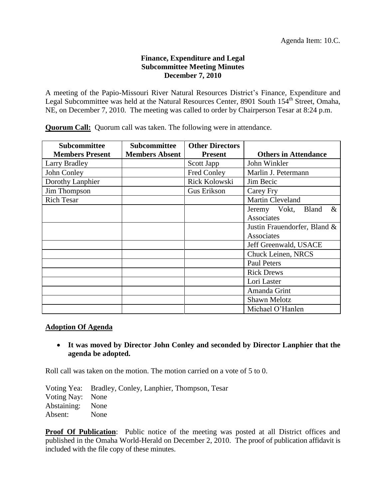# **Finance, Expenditure and Legal Subcommittee Meeting Minutes December 7, 2010**

A meeting of the Papio-Missouri River Natural Resources District's Finance, Expenditure and Legal Subcommittee was held at the Natural Resources Center, 8901 South 154<sup>th</sup> Street, Omaha, NE, on December 7, 2010. The meeting was called to order by Chairperson Tesar at 8:24 p.m.

**Quorum Call:** Quorum call was taken. The following were in attendance.

| Subcommittee<br><b>Members Present</b> | <b>Subcommittee</b><br><b>Members Absent</b> | <b>Other Directors</b><br><b>Present</b> | <b>Others in Attendance</b>          |
|----------------------------------------|----------------------------------------------|------------------------------------------|--------------------------------------|
| <b>Larry Bradley</b>                   |                                              | Scott Japp                               | John Winkler                         |
| John Conley                            |                                              | Fred Conley                              | Marlin J. Petermann                  |
| Dorothy Lanphier                       |                                              | <b>Rick Kolowski</b>                     | Jim Becic                            |
| Jim Thompson                           |                                              | <b>Gus Erikson</b>                       | Carey Fry                            |
| <b>Rich Tesar</b>                      |                                              |                                          | <b>Martin Cleveland</b>              |
|                                        |                                              |                                          | Jeremy Vokt,<br>$\&$<br><b>Bland</b> |
|                                        |                                              |                                          | Associates                           |
|                                        |                                              |                                          | Justin Frauendorfer, Bland &         |
|                                        |                                              |                                          | Associates                           |
|                                        |                                              |                                          | Jeff Greenwald, USACE                |
|                                        |                                              |                                          | Chuck Leinen, NRCS                   |
|                                        |                                              |                                          | <b>Paul Peters</b>                   |
|                                        |                                              |                                          | <b>Rick Drews</b>                    |
|                                        |                                              |                                          | Lori Laster                          |
|                                        |                                              |                                          | Amanda Grint                         |
|                                        |                                              |                                          | Shawn Melotz                         |
|                                        |                                              |                                          | Michael O'Hanlen                     |

### **Adoption Of Agenda**

 **It was moved by Director John Conley and seconded by Director Lanphier that the agenda be adopted.**

Roll call was taken on the motion. The motion carried on a vote of 5 to 0.

Voting Yea: Bradley, Conley, Lanphier, Thompson, Tesar Voting Nay: None Abstaining: None Absent: None

**Proof Of Publication:** Public notice of the meeting was posted at all District offices and published in the Omaha World-Herald on December 2, 2010. The proof of publication affidavit is included with the file copy of these minutes.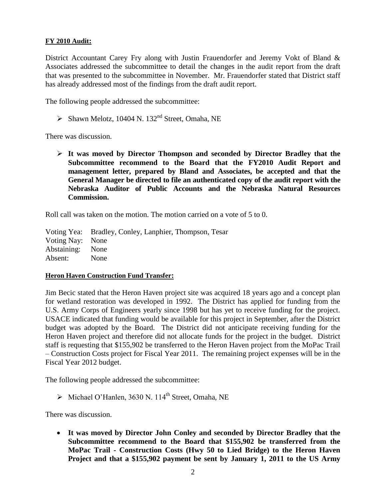# **FY 2010 Audit:**

District Accountant Carey Fry along with Justin Frauendorfer and Jeremy Vokt of Bland & Associates addressed the subcommittee to detail the changes in the audit report from the draft that was presented to the subcommittee in November. Mr. Frauendorfer stated that District staff has already addressed most of the findings from the draft audit report.

The following people addressed the subcommittee:

 $\triangleright$  Shawn Melotz, 10404 N. 132<sup>nd</sup> Street, Omaha, NE

There was discussion.

 **It was moved by Director Thompson and seconded by Director Bradley that the Subcommittee recommend to the Board that the FY2010 Audit Report and management letter, prepared by Bland and Associates, be accepted and that the General Manager be directed to file an authenticated copy of the audit report with the Nebraska Auditor of Public Accounts and the Nebraska Natural Resources Commission.**

Roll call was taken on the motion. The motion carried on a vote of 5 to 0.

Voting Yea: Bradley, Conley, Lanphier, Thompson, Tesar Voting Nay: None Abstaining: None Absent: None

### **Heron Haven Construction Fund Transfer:**

Jim Becic stated that the Heron Haven project site was acquired 18 years ago and a concept plan for wetland restoration was developed in 1992. The District has applied for funding from the U.S. Army Corps of Engineers yearly since 1998 but has yet to receive funding for the project. USACE indicated that funding would be available for this project in September, after the District budget was adopted by the Board. The District did not anticipate receiving funding for the Heron Haven project and therefore did not allocate funds for the project in the budget. District staff is requesting that \$155,902 be transferred to the Heron Haven project from the MoPac Trail – Construction Costs project for Fiscal Year 2011. The remaining project expenses will be in the Fiscal Year 2012 budget.

The following people addressed the subcommittee:

 $\triangleright$  Michael O'Hanlen, 3630 N. 114<sup>th</sup> Street, Omaha, NE

There was discussion.

 **It was moved by Director John Conley and seconded by Director Bradley that the Subcommittee recommend to the Board that \$155,902 be transferred from the MoPac Trail - Construction Costs (Hwy 50 to Lied Bridge) to the Heron Haven Project and that a \$155,902 payment be sent by January 1, 2011 to the US Army**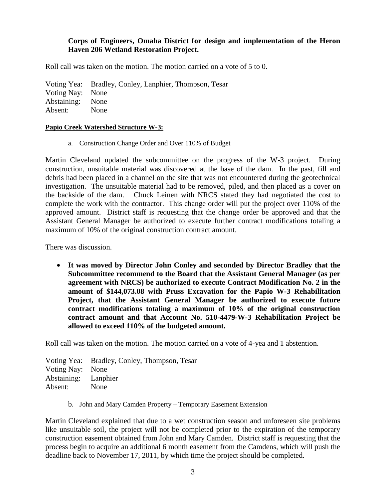# **Corps of Engineers, Omaha District for design and implementation of the Heron Haven 206 Wetland Restoration Project.**

Roll call was taken on the motion. The motion carried on a vote of 5 to 0.

Voting Yea: Bradley, Conley, Lanphier, Thompson, Tesar Voting Nay: None Abstaining: None

Absent: None

#### **Papio Creek Watershed Structure W-3:**

a. Construction Change Order and Over 110% of Budget

Martin Cleveland updated the subcommittee on the progress of the W-3 project. During construction, unsuitable material was discovered at the base of the dam. In the past, fill and debris had been placed in a channel on the site that was not encountered during the geotechnical investigation. The unsuitable material had to be removed, piled, and then placed as a cover on the backside of the dam. Chuck Leinen with NRCS stated they had negotiated the cost to complete the work with the contractor. This change order will put the project over 110% of the approved amount. District staff is requesting that the change order be approved and that the Assistant General Manager be authorized to execute further contract modifications totaling a maximum of 10% of the original construction contract amount.

There was discussion.

 **It was moved by Director John Conley and seconded by Director Bradley that the Subcommittee recommend to the Board that the Assistant General Manager (as per agreement with NRCS) be authorized to execute Contract Modification No. 2 in the amount of \$144,073.08 with Pruss Excavation for the Papio W-3 Rehabilitation Project, that the Assistant General Manager be authorized to execute future contract modifications totaling a maximum of 10% of the original construction contract amount and that Account No. 510-4479-W-3 Rehabilitation Project be allowed to exceed 110% of the budgeted amount.**

Roll call was taken on the motion. The motion carried on a vote of 4-yea and 1 abstention.

Voting Yea: Bradley, Conley, Thompson, Tesar Voting Nay: None Abstaining: Lanphier Absent: None

b. John and Mary Camden Property – Temporary Easement Extension

Martin Cleveland explained that due to a wet construction season and unforeseen site problems like unsuitable soil, the project will not be completed prior to the expiration of the temporary construction easement obtained from John and Mary Camden. District staff is requesting that the process begin to acquire an additional 6 month easement from the Camdens, which will push the deadline back to November 17, 2011, by which time the project should be completed.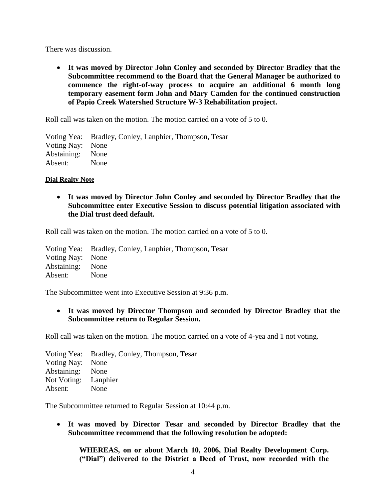There was discussion.

 **It was moved by Director John Conley and seconded by Director Bradley that the Subcommittee recommend to the Board that the General Manager be authorized to commence the right-of-way process to acquire an additional 6 month long temporary easement form John and Mary Camden for the continued construction of Papio Creek Watershed Structure W-3 Rehabilitation project.**

Roll call was taken on the motion. The motion carried on a vote of 5 to 0.

Voting Yea: Bradley, Conley, Lanphier, Thompson, Tesar Voting Nay: None Abstaining: None Absent: None

### **Dial Realty Note**

 **It was moved by Director John Conley and seconded by Director Bradley that the Subcommittee enter Executive Session to discuss potential litigation associated with the Dial trust deed default.**

Roll call was taken on the motion. The motion carried on a vote of 5 to 0.

Voting Yea: Bradley, Conley, Lanphier, Thompson, Tesar Voting Nay: None Abstaining: None Absent: None

The Subcommittee went into Executive Session at 9:36 p.m.

 **It was moved by Director Thompson and seconded by Director Bradley that the Subcommittee return to Regular Session.** 

Roll call was taken on the motion. The motion carried on a vote of 4-yea and 1 not voting.

Voting Yea: Bradley, Conley, Thompson, Tesar Voting Nay: None Abstaining: None Not Voting: Lanphier Absent: None

The Subcommittee returned to Regular Session at 10:44 p.m.

 **It was moved by Director Tesar and seconded by Director Bradley that the Subcommittee recommend that the following resolution be adopted:**

**WHEREAS, on or about March 10, 2006, Dial Realty Development Corp. ("Dial") delivered to the District a Deed of Trust, now recorded with the**